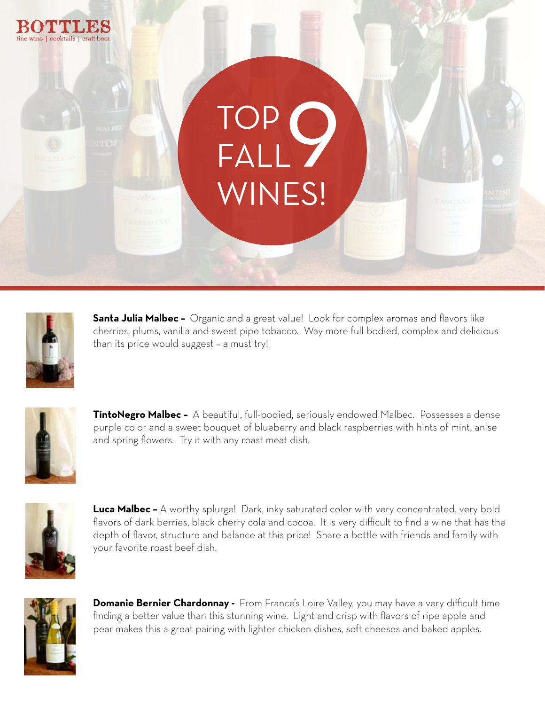



**Santa Julia Malbec -** Organic and a great value! Look for complex aromas and flavors like cherries, plums, vanilla and sweet pipe tobacco. Way more full bodied, complex and delicious than its price would suggest – a must try!



**TintoNegro Malbec –** A beautiful, full-bodied, seriously endowed Malbec. Possesses a dense purple color and a sweet bouquet of blueberry and black raspberries with hints of mint, anise and spring flowers. Try it with any roast meat dish.



**Luca Malbec -** A worthy splurge! Dark, inky saturated color with very concentrated, very bold flavors of dark berries, black cherry cola and cocoa. It is very difficult to find a wine that has the depth of flavor, structure and balance at this price! Share a bottle with friends and family with your favorite roast beef dish.



**Domanie Bernier Chardonnay -** From France's Loire Valley, you may have a very difficult time finding a better value than this stunning wine. Light and crisp with flavors of ripe apple and pear makes this a great pairing with lighter chicken dishes, soft cheeses and baked apples.